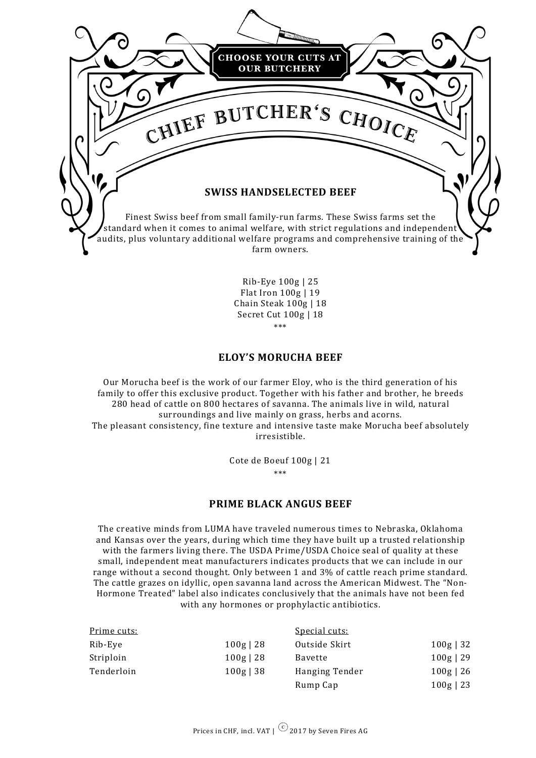

Rib-Eye 100g | 25 Flat Iron 100g | 19 Chain Steak 100g | 18 Secret Cut 100g | 18 \*\*\*

# **ELOY'S MORUCHA BEEF**

Our Morucha beef is the work of our farmer Eloy, who is the third generation of his family to offer this exclusive product. Together with his father and brother, he breeds 280 head of cattle on 800 hectares of savanna. The animals live in wild, natural surroundings and live mainly on grass, herbs and acorns. The pleasant consistency, fine texture and intensive taste make Morucha beef absolutely irresistible.

> Cote de Boeuf 100g | 21 \*\*\*

#### **PRIME BLACK ANGUS BEEF**

The creative minds from LUMA have traveled numerous times to Nebraska, Oklahoma and Kansas over the years, during which time they have built up a trusted relationship with the farmers living there. The USDA Prime/USDA Choice seal of quality at these small, independent meat manufacturers indicates products that we can include in our range without a second thought. Only between 1 and 3% of cattle reach prime standard. The cattle grazes on idyllic, open savanna land across the American Midwest. The "Non-Hormone Treated" label also indicates conclusively that the animals have not been fed with any hormones or prophylactic antibiotics.

| Prime cuts: |             | Special cuts:  |             |
|-------------|-------------|----------------|-------------|
| Rib-Eye     | $100g$   28 | Outside Skirt  | $100g$   32 |
| Striploin   | $100g$   28 | Bavette        | $100g$   29 |
| Tenderloin  | $100g$   38 | Hanging Tender | $100g$   26 |
|             |             | Rump Cap       | $100g$   23 |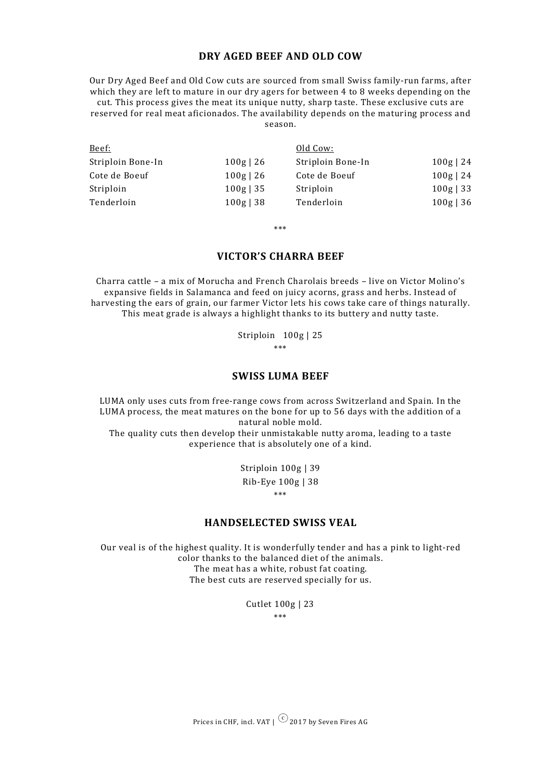### **DRY AGED BEEF AND OLD COW**

Our Dry Aged Beef and Old Cow cuts are sourced from small Swiss family-run farms, after which they are left to mature in our dry agers for between 4 to 8 weeks depending on the cut. This process gives the meat its unique nutty, sharp taste. These exclusive cuts are reserved for real meat aficionados. The availability depends on the maturing process and season.

| Old Cow:          |             |
|-------------------|-------------|
| Striploin Bone-In | $100g$   24 |
| Cote de Boeuf     | $100g$   24 |
| Striploin         | $100g$   33 |
| Tenderloin        | $100g$   36 |
|                   |             |

\*\*\*

## **VICTOR'S CHARRA BEEF**

Charra cattle – a mix of Morucha and French Charolais breeds – live on Victor Molino's expansive fields in Salamanca and feed on juicy acorns, grass and herbs. Instead of harvesting the ears of grain, our farmer Victor lets his cows take care of things naturally. This meat grade is always a highlight thanks to its buttery and nutty taste.

> Striploin 100g | 25 \*\*\*

#### **SWISS LUMA BEEF**

LUMA only uses cuts from free-range cows from across Switzerland and Spain. In the LUMA process, the meat matures on the bone for up to 56 days with the addition of a natural noble mold.

The quality cuts then develop their unmistakable nutty aroma, leading to a taste experience that is absolutely one of a kind.

> Striploin 100g | 39 Rib-Eye 100g | 38 \*\*\*

#### **HANDSELECTED SWISS VEAL**

Our veal is of the highest quality. It is wonderfully tender and has a pink to light-red color thanks to the balanced diet of the animals. The meat has a white, robust fat coating. The best cuts are reserved specially for us.

> Cutlet 100g | 23 \*\*\*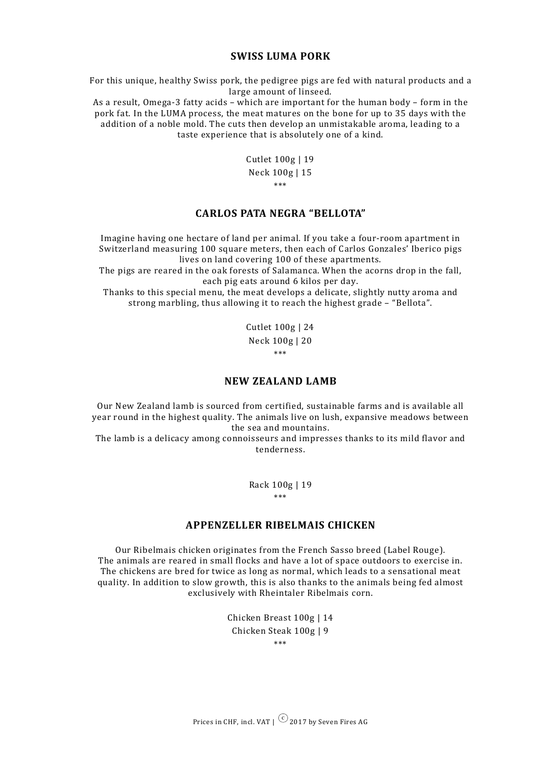#### **SWISS LUMA PORK**

For this unique, healthy Swiss pork, the pedigree pigs are fed with natural products and a large amount of linseed.

As a result, Omega-3 fatty acids – which are important for the human body – form in the pork fat. In the LUMA process, the meat matures on the bone for up to 35 days with the addition of a noble mold. The cuts then develop an unmistakable aroma, leading to a taste experience that is absolutely one of a kind.

> Cutlet 100g | 19 Neck 100g | 15 \*\*\*

# **CARLOS PATA NEGRA "BELLOTA"**

Imagine having one hectare of land per animal. If you take a four-room apartment in Switzerland measuring 100 square meters, then each of Carlos Gonzales' Iberico pigs lives on land covering 100 of these apartments.

The pigs are reared in the oak forests of Salamanca. When the acorns drop in the fall, each pig eats around 6 kilos per day.

Thanks to this special menu, the meat develops a delicate, slightly nutty aroma and strong marbling, thus allowing it to reach the highest grade – "Bellota".

> Cutlet 100g | 24 Neck 100g | 20 \*\*\*

### **NEW ZEALAND LAMB**

Our New Zealand lamb is sourced from certified, sustainable farms and is available all year round in the highest quality. The animals live on lush, expansive meadows between the sea and mountains.

The lamb is a delicacy among connoisseurs and impresses thanks to its mild flavor and tenderness.

> Rack 100g | 19 \*\*\*

#### **APPENZELLER RIBELMAIS CHICKEN**

Our Ribelmais chicken originates from the French Sasso breed (Label Rouge). The animals are reared in small flocks and have a lot of space outdoors to exercise in. The chickens are bred for twice as long as normal, which leads to a sensational meat quality. In addition to slow growth, this is also thanks to the animals being fed almost exclusively with Rheintaler Ribelmais corn.

> Chicken Breast 100g | 14 Chicken Steak 100g | 9 \*\*\*